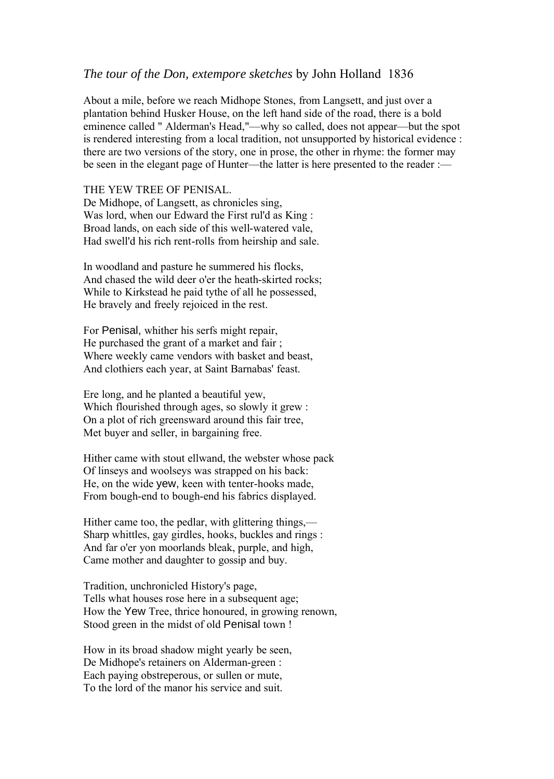## *The tour of the Don, extempore sketches* by John Holland 1836

About a mile, before we reach Midhope Stones, from Langsett, and just over a plantation behind Husker House, on the left hand side of the road, there is a bold eminence called " Alderman's Head,"—why so called, does not appear—but the spot is rendered interesting from a local tradition, not unsupported by historical evidence : there are two versions of the story, one in prose, the other in rhyme: the former may be seen in the elegant page of Hunter—the latter is here presented to the reader :—

## THE YEW TREE OF PENISAL.

De Midhope, of Langsett, as chronicles sing, Was lord, when our Edward the First rul'd as King : Broad lands, on each side of this well-watered vale, Had swell'd his rich rent-rolls from heirship and sale.

In woodland and pasture he summered his flocks, And chased the wild deer o'er the heath-skirted rocks; While to Kirkstead he paid tythe of all he possessed, He bravely and freely rejoiced in the rest.

For Penisal, whither his serfs might repair, He purchased the grant of a market and fair ; Where weekly came vendors with basket and beast, And clothiers each year, at Saint Barnabas' feast.

Ere long, and he planted a beautiful yew, Which flourished through ages, so slowly it grew : On a plot of rich greensward around this fair tree, Met buyer and seller, in bargaining free.

Hither came with stout ellwand, the webster whose pack Of linseys and woolseys was strapped on his back: He, on the wide yew, keen with tenter-hooks made, From bough-end to bough-end his fabrics displayed.

Hither came too, the pedlar, with glittering things,— Sharp whittles, gay girdles, hooks, buckles and rings : And far o'er yon moorlands bleak, purple, and high, Came mother and daughter to gossip and buy.

Tradition, unchronicled History's page, Tells what houses rose here in a subsequent age; How the Yew Tree, thrice honoured, in growing renown, Stood green in the midst of old Penisal town !

How in its broad shadow might yearly be seen, De Midhope's retainers on Alderman-green : Each paying obstreperous, or sullen or mute, To the lord of the manor his service and suit.